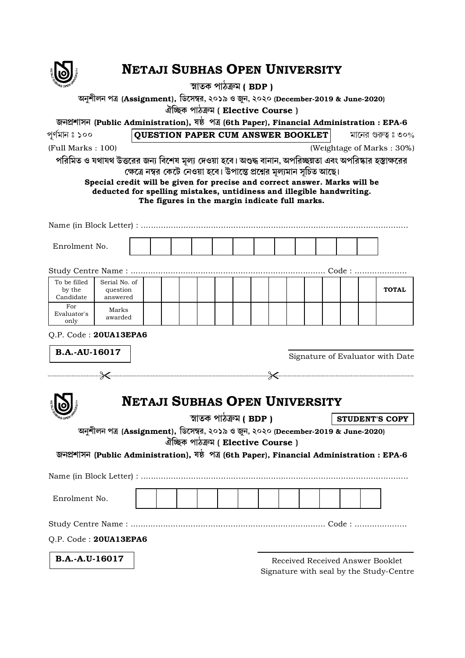

# **NETAJI SUBHAS OPEN UNIVERSITY**

|                                                                                                                               |                                                                                                                                                     |                                                                      |  | স্নাতক পাঠক্ৰম ( BDP )                                       |  |  |  |  |                                  |
|-------------------------------------------------------------------------------------------------------------------------------|-----------------------------------------------------------------------------------------------------------------------------------------------------|----------------------------------------------------------------------|--|--------------------------------------------------------------|--|--|--|--|----------------------------------|
| অনুশীলন পত্র (Assignment), ডিসেম্বর, ২০১৯ ও জুন, ২০২০ (December-2019 & June-2020)                                             |                                                                                                                                                     |                                                                      |  |                                                              |  |  |  |  |                                  |
|                                                                                                                               |                                                                                                                                                     |                                                                      |  | ঐচ্ছিক পাঠক্ৰম ( Elective Course )                           |  |  |  |  |                                  |
| জনপ্ৰশাসন (Public Administration), যন্ঠ পত্ৰ (6th Paper), Financial Administration : EPA-6                                    |                                                                                                                                                     |                                                                      |  |                                                              |  |  |  |  |                                  |
| পূর্ণমান ঃ ১০০                                                                                                                |                                                                                                                                                     | QUESTION PAPER CUM ANSWER BOOKLET                                    |  |                                                              |  |  |  |  | মানের গুরুত্ব ঃ ৩০%              |
| (Full Marks: 100)<br>পরিমিত ও যথাযথ উত্তরের জন্য বিশেষ মূল্য দেওয়া হবে। অশুদ্ধ বানান, অপরিচ্ছন্নতা এবং অপরিষ্কার হস্তাক্ষরের |                                                                                                                                                     |                                                                      |  |                                                              |  |  |  |  | (Weightage of Marks: 30%)        |
|                                                                                                                               |                                                                                                                                                     | ক্ষেত্রে নম্বর কেটে নেওয়া হবে। উপাস্তে প্রশ্নের মূল্যমান সূচিত আছে। |  |                                                              |  |  |  |  |                                  |
|                                                                                                                               | Special credit will be given for precise and correct answer. Marks will be<br>deducted for spelling mistakes, untidiness and illegible handwriting. | The figures in the margin indicate full marks.                       |  |                                                              |  |  |  |  |                                  |
|                                                                                                                               |                                                                                                                                                     |                                                                      |  |                                                              |  |  |  |  |                                  |
|                                                                                                                               |                                                                                                                                                     |                                                                      |  |                                                              |  |  |  |  |                                  |
| Enrolment No.                                                                                                                 |                                                                                                                                                     |                                                                      |  |                                                              |  |  |  |  |                                  |
|                                                                                                                               |                                                                                                                                                     |                                                                      |  |                                                              |  |  |  |  |                                  |
| To be filled<br>by the<br>Candidate                                                                                           | Serial No. of<br>question<br>answered                                                                                                               |                                                                      |  |                                                              |  |  |  |  | <b>TOTAL</b>                     |
| For<br>Evaluator's<br>only                                                                                                    | Marks<br>awarded                                                                                                                                    |                                                                      |  |                                                              |  |  |  |  |                                  |
| Q.P. Code: 20UA13EPA6                                                                                                         |                                                                                                                                                     |                                                                      |  |                                                              |  |  |  |  |                                  |
| <b>B.A.-AU-16017</b>                                                                                                          |                                                                                                                                                     |                                                                      |  |                                                              |  |  |  |  | Signature of Evaluator with Date |
|                                                                                                                               |                                                                                                                                                     |                                                                      |  |                                                              |  |  |  |  |                                  |
| অনুশীলন পত্র (Assignment), ডিসেম্বর, ২০১৯ ও জুন, ২০২০ (December-2019 & June-2020)                                             |                                                                                                                                                     | <b>NETAJI SUBHAS OPEN UNIVERSITY</b>                                 |  | স্নাতক পাঠক্ৰম ( BDP )<br>ঐচ্ছিক পাঠক্ৰম ( Elective Course ) |  |  |  |  | <b>STUDENT'S COPY</b>            |
| জনপ্ৰশাসন (Public Administration), যন্ঠ পত্ৰ (6th Paper), Financial Administration : EPA-6                                    |                                                                                                                                                     |                                                                      |  |                                                              |  |  |  |  |                                  |
| Enrolment No.                                                                                                                 |                                                                                                                                                     |                                                                      |  |                                                              |  |  |  |  |                                  |
|                                                                                                                               |                                                                                                                                                     |                                                                      |  |                                                              |  |  |  |  |                                  |
| Q.P. Code: 20UA13EPA6                                                                                                         |                                                                                                                                                     |                                                                      |  |                                                              |  |  |  |  |                                  |
| B.A.-A.U-16017                                                                                                                |                                                                                                                                                     |                                                                      |  |                                                              |  |  |  |  | Received Received Answer Booklet |

Signature with seal by the Study-Centre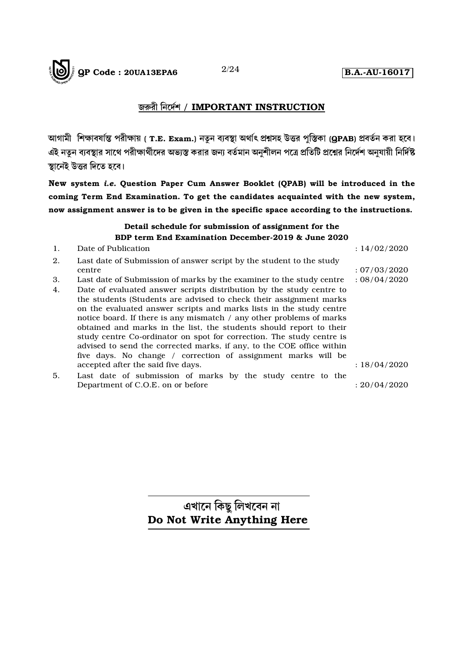

### জৰুৱী নিৰ্দেশ / IMPORTANT INSTRUCTION

আগামী শিক্ষাবৰ্ষান্ত পরীক্ষায় ( T.E. Exam.) নতুন ব্যবস্থা অর্থাৎ প্রশ্নসহ উত্তর পুস্তিকা (QPAB) প্রবর্তন করা হবে। এই নতুন ব্যবস্থার সাথে পরীক্ষার্থীদের অভ্যস্ত করার জন্য বর্তমান অনুশীলন পত্রে প্রতিটি প্রশ্নের নির্দেশ অনুযায়ী নির্দিষ্ট  $\overline{v}$ ষানেই উত্তর দিতে হবে।

**New system** *i.e.* **Question Paper Cum Answer Booklet (QPAB) will be introduced in the coming Term End Examination. To get the candidates acquainted with the new system, now assignment answer is to be given in the specific space according to the instructions.**

#### Detail schedule for submission of assignment for the BDP term End Examination December-2019 & June 2020

| $\mathbf{1}$ . | Date of Publication                                                                                                                                                                                                                                                                                                                                                                                                                                                                                                                                                                  | : 14/02/2020 |
|----------------|--------------------------------------------------------------------------------------------------------------------------------------------------------------------------------------------------------------------------------------------------------------------------------------------------------------------------------------------------------------------------------------------------------------------------------------------------------------------------------------------------------------------------------------------------------------------------------------|--------------|
| 2.             | Last date of Submission of answer script by the student to the study                                                                                                                                                                                                                                                                                                                                                                                                                                                                                                                 |              |
|                | centre                                                                                                                                                                                                                                                                                                                                                                                                                                                                                                                                                                               | : 07/03/2020 |
| 3.             | Last date of Submission of marks by the examiner to the study centre                                                                                                                                                                                                                                                                                                                                                                                                                                                                                                                 | : 08/04/2020 |
| 4.             | Date of evaluated answer scripts distribution by the study centre to<br>the students (Students are advised to check their assignment marks)<br>on the evaluated answer scripts and marks lists in the study centre<br>notice board. If there is any mismatch / any other problems of marks<br>obtained and marks in the list, the students should report to their<br>study centre Co-ordinator on spot for correction. The study centre is<br>advised to send the corrected marks, if any, to the COE office within<br>five days. No change / correction of assignment marks will be |              |
|                | accepted after the said five days.                                                                                                                                                                                                                                                                                                                                                                                                                                                                                                                                                   | : 18/04/2020 |
| 5.             | Last date of submission of marks by the study centre to the                                                                                                                                                                                                                                                                                                                                                                                                                                                                                                                          |              |
|                | Department of C.O.E. on or before                                                                                                                                                                                                                                                                                                                                                                                                                                                                                                                                                    | : 20/04/2020 |

### $\frac{1}{2}$ খানে কিছু লিখবেন না Do Not Write Anything Here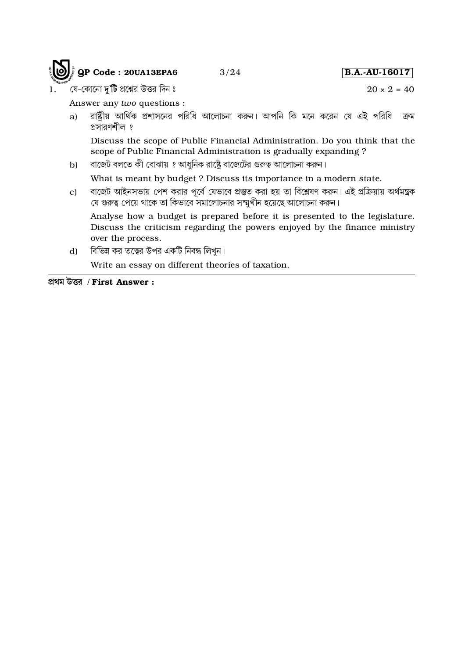# $\int\limits_{\mathbb{R}}^{\mathbb{R}}$  QP Code : 20UA13EPA6

**B.A.-AU-16017** 

যে-কোনো **দ'টি** প্রশ্নের উত্তর দিন ঃ  $\mathbf{1}$ .

 $20 \times 2 = 40$ 

Answer any two questions :

রাষ্টীয় আর্থিক প্রশাসনের পরিধি আলোচনা করুন। আপনি কি মনে করেন যে এই পরিধি ক্ৰম  $a)$ প্রসারণশীল ?

 $3/24$ 

Discuss the scope of Public Financial Administration. Do you think that the scope of Public Financial Administration is gradually expanding?

বাজেট বলতে কী বোঝায় ? আধুনিক রাষ্ট্রে বাজেটের গুরুত্ব আলোচনা করুন। b)

What is meant by budget? Discuss its importance in a modern state.

বাজেট আইনসভায় পেশ করার পূর্বে যেভাবে প্রস্তুত করা হয় তা বিশ্লেষণ করুন। এই প্রক্রিয়ায় অর্থমন্ত্রক  $\mathbf{c})$ যে গুরুত্ব পেয়ে থাকে তা কিভাবে সমালোচনার সম্মুখীন হয়েছে আলোচনা করুন।

Analyse how a budget is prepared before it is presented to the legislature. Discuss the criticism regarding the powers enjoyed by the finance ministry over the process.

বিভিন্ন কর তত্ত্বের উপর একটি নিবন্ধ লিখন।  $\mathbf{d}$ 

Write an essay on different theories of taxation.

প্ৰথম উত্তর / First Answer :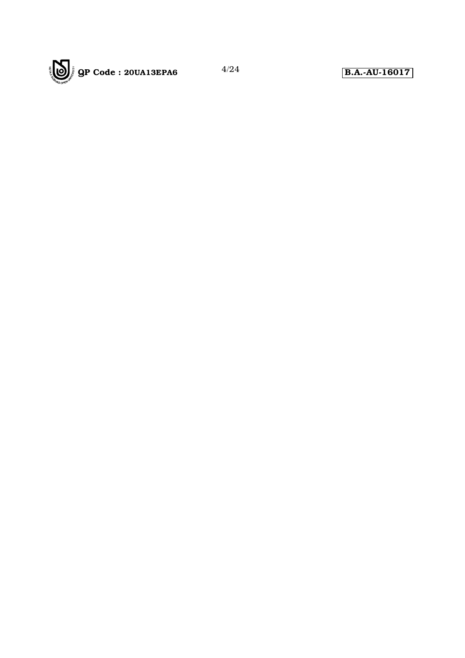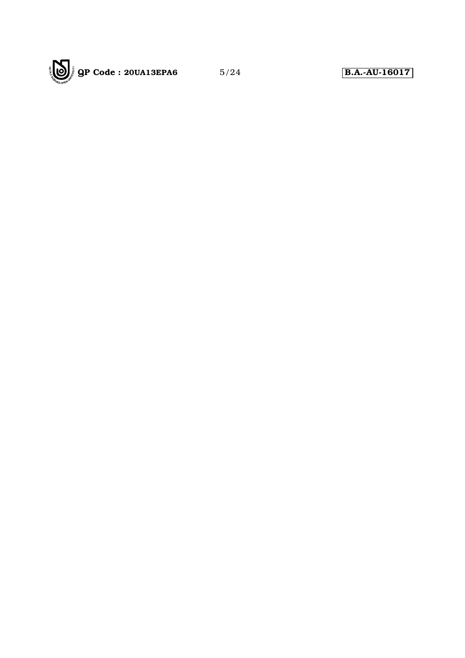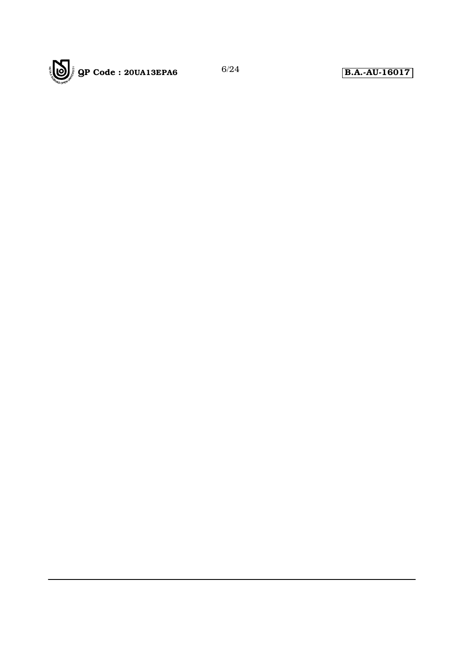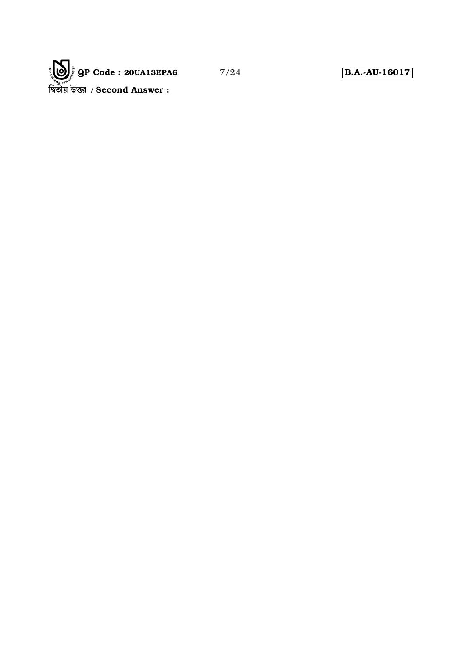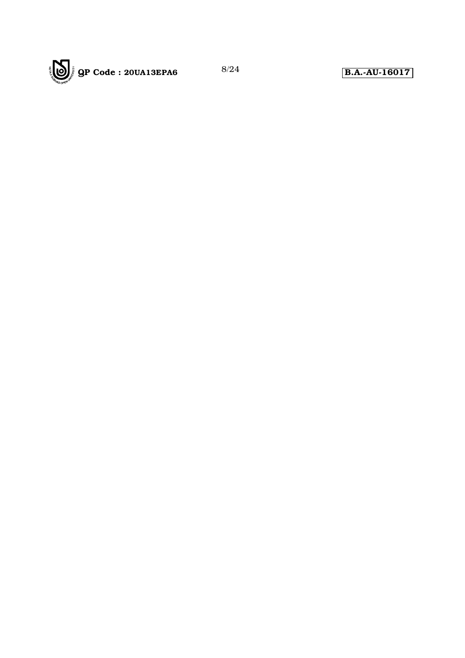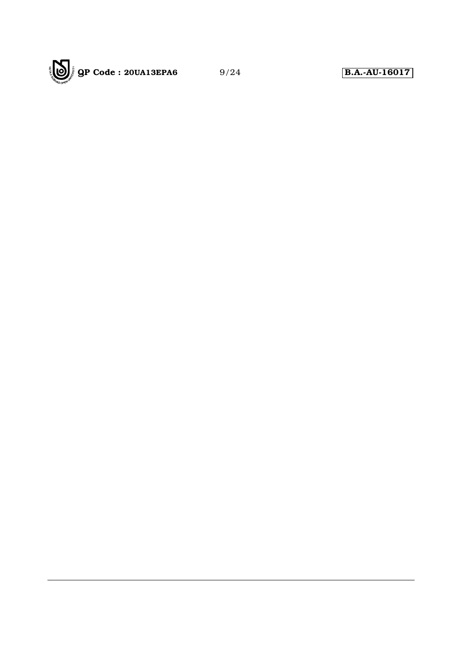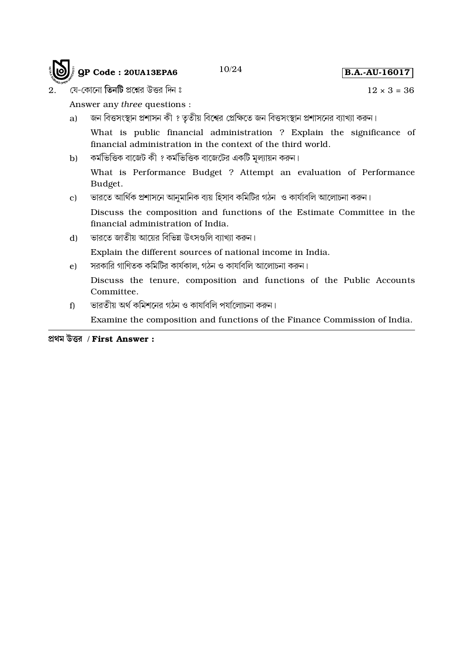# $\frac{1}{2}$  QP Code : 20UA13EPA6

**B.A.-AU-16017** 

যে-কোনো তিনটি প্রশ্নের উত্তর দিন ঃ  $2<sub>1</sub>$ 

 $12 \times 3 = 36$ 

- Answer any three questions :
- জন বিত্তসংস্থান প্রশাসন কী ? তৃতীয় বিশ্বের প্রেক্ষিতে জন বিত্তসংস্থান প্রশাসনের ব্যাখ্যা করুন।  $a)$

 $10/24$ 

What is public financial administration ? Explain the significance of financial administration in the context of the third world.

কর্মভিত্তিক বাজেট কী ? কর্মভিত্তিক বাজেটের একটি মূল্যায়ন করুন।  $b)$ 

What is Performance Budget ? Attempt an evaluation of Performance Budget.

ভারতে আর্থিক প্রশাসনে আনুমানিক ব্যয় হিসাব কমিটির গঠন ও কার্যাবলি আলোচনা করুন।  $\mathbf{c}$ )

Discuss the composition and functions of the Estimate Committee in the financial administration of India.

ভারতে জাতীয় আয়ের বিভিন্ন উৎসণ্ডলি ব্যাখ্যা করুন।  $\mathbf{d}$ 

Explain the different sources of national income in India.

সরকারি গাণিতক কমিটির কার্যকাল, গঠন ও কার্যাবলি আলোচনা করুন।  $\epsilon$ )

Discuss the tenure, composition and functions of the Public Accounts Committee.

ভারতীয় অর্থ কমিশনের গঠন ও কার্যাবলি পর্যালোচনা করুন।  $\mathbf{f}$ 

Examine the composition and functions of the Finance Commission of India.

প্ৰথম উত্তর / First Answer :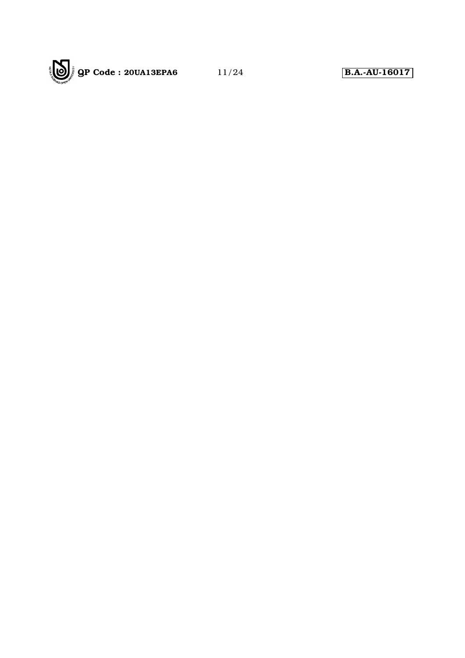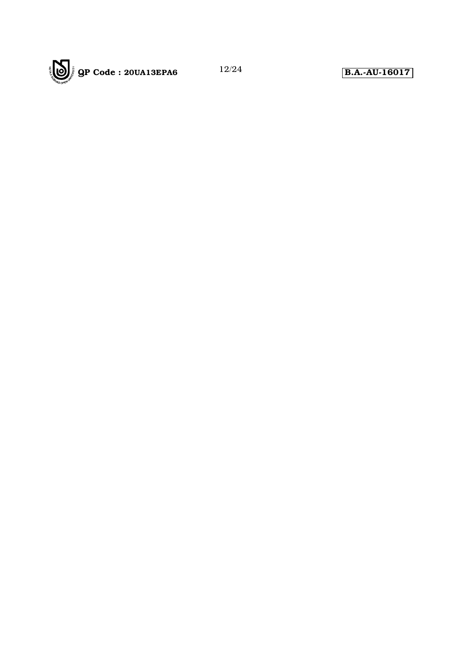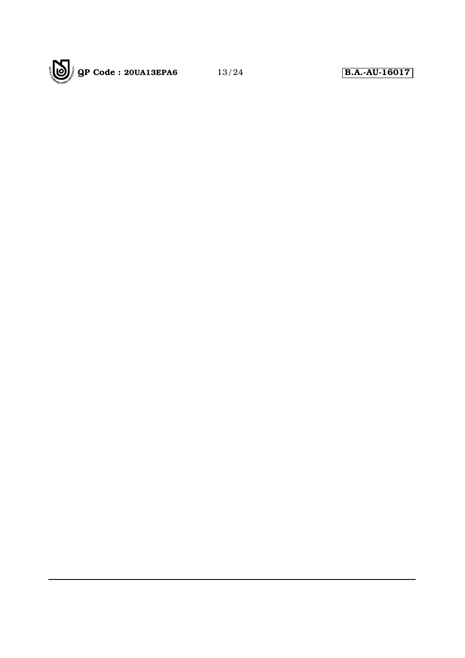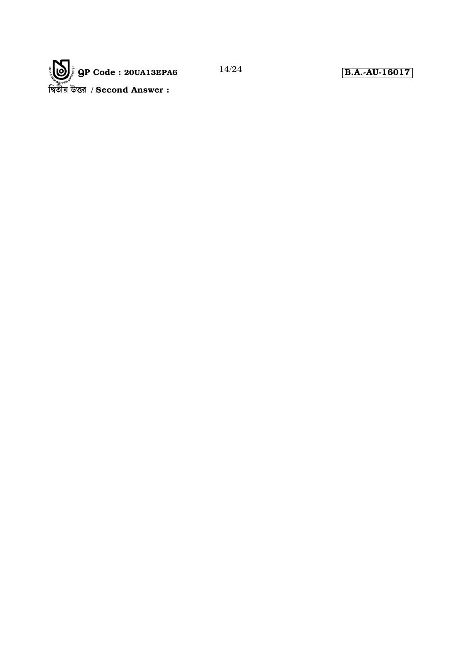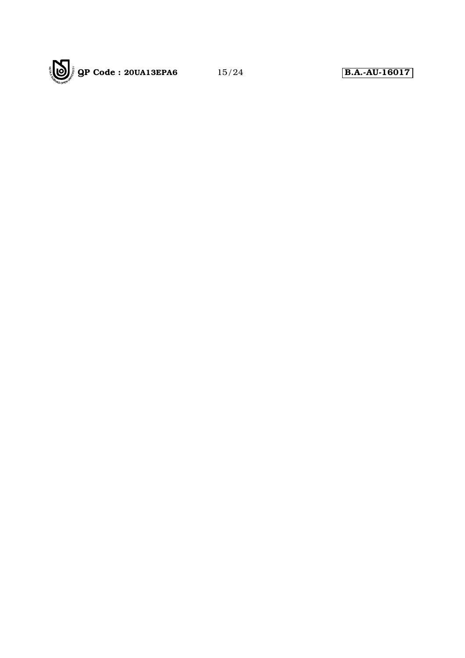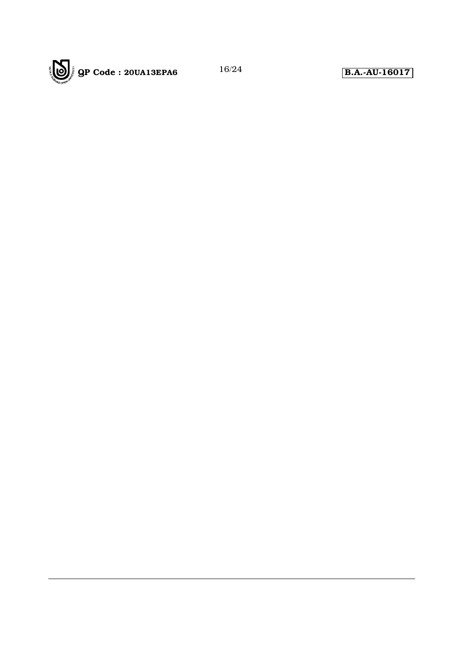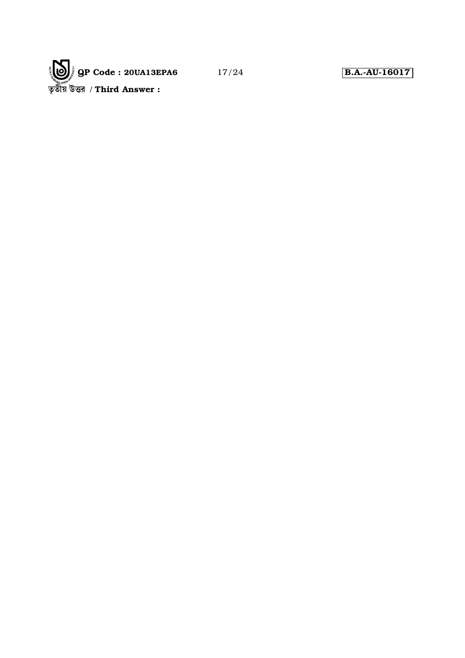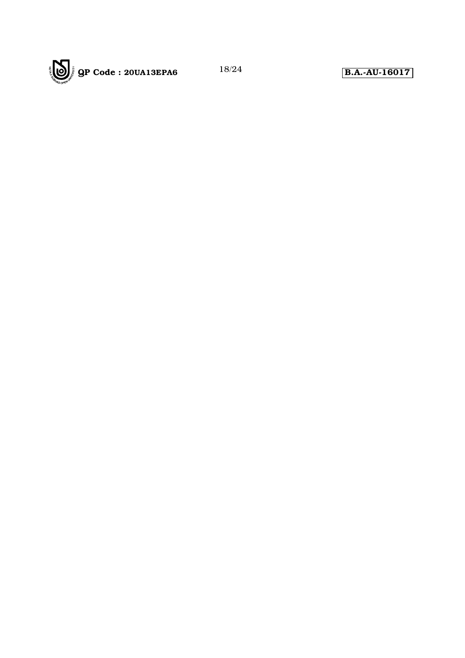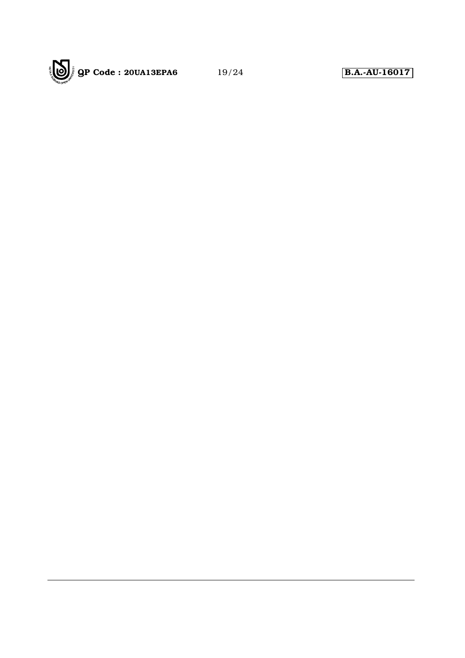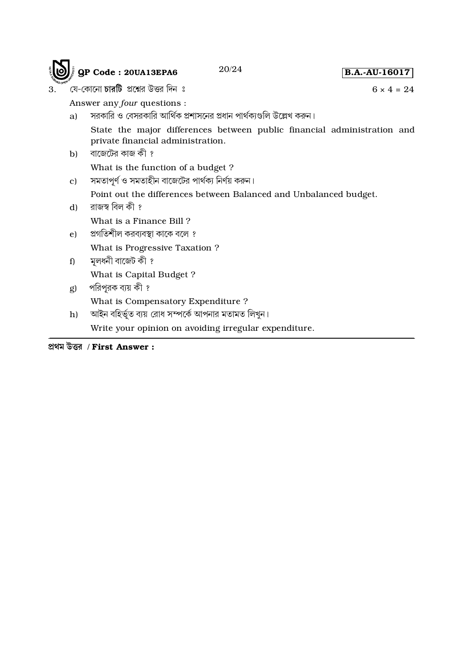```
\int\limits_{\mathbb{R}}^{\mathbb{R}} QP Code : 20UA13EPA6
        যে-কোনো চারটি প্রশ্নের উত্তর দিন ঃ
3.
```
 $6 \times 4 = 24$ 

Answer any four questions :

সরকারি ও বেসরকারি আর্থিক প্রশাসনের প্রধান পার্থক্যগুলি উল্লেখ করুন।  $a)$ 

State the major differences between public financial administration and private financial administration.

বাজেটের কাজ কী ?  $b)$ 

What is the function of a budget?

সমতাপূর্ণ ও সমতাহীন বাজেটের পার্থক্য নির্ণয় করুন।  $\mathbf{c})$ 

Point out the differences between Balanced and Unbalanced budget.

20/24

- রাজস্ব বিল কী ?  $\mathbf{d}$ What is a Finance Bill?
- প্রগতিশীল করব্যবস্থা কাকে বলে ?  $e)$ What is Progressive Taxation?
- মুলধনী বাজেট কী ?  $f$ What is Capital Budget?
- পরিপুরক ব্যয় কী ?  $g$ )

What is Compensatory Expenditure?

আইন বহিৰ্ভূত ব্যয় রোধ সম্পর্কে আপনার মতামত লিখুন।  $h)$ 

Write your opinion on avoiding irregular expenditure.

প্ৰথম উত্তর / First Answer: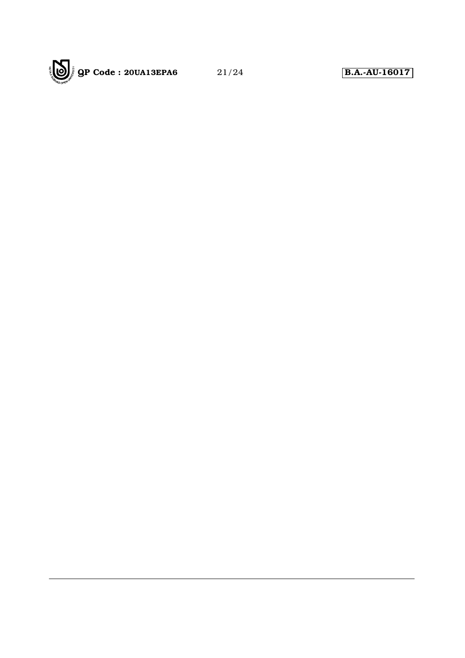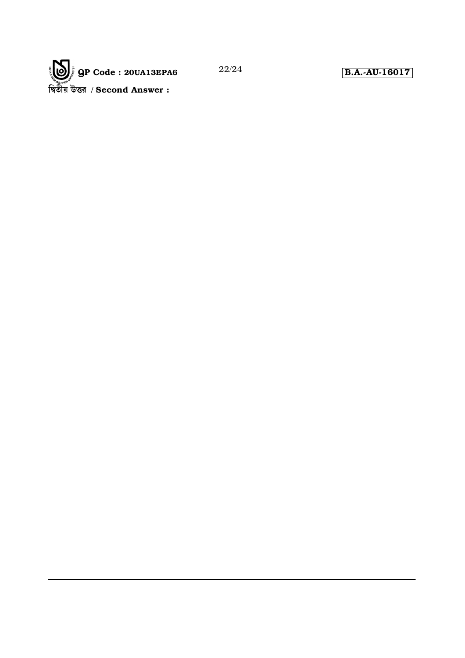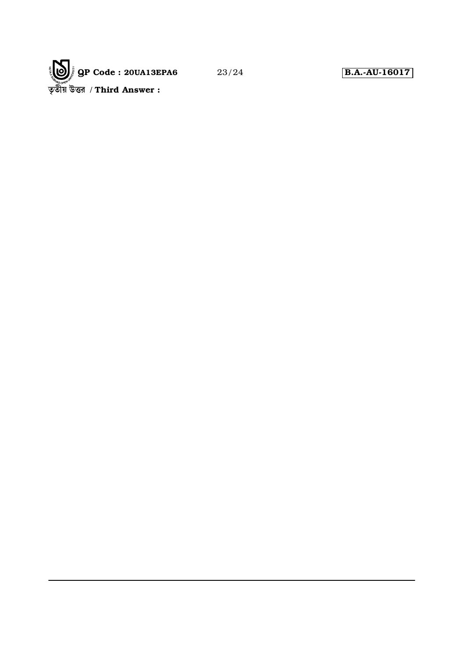